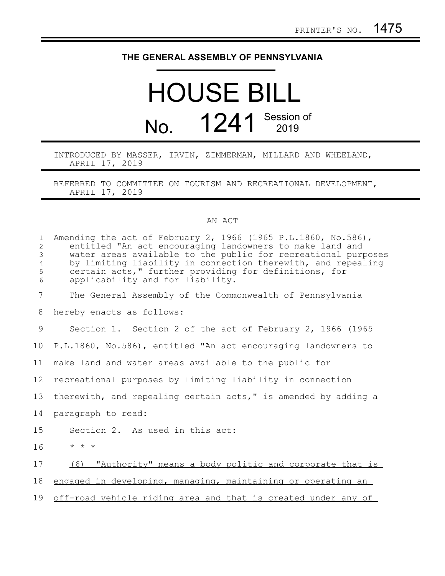## **THE GENERAL ASSEMBLY OF PENNSYLVANIA**

## HOUSE BILL No. 1241 Session of

INTRODUCED BY MASSER, IRVIN, ZIMMERMAN, MILLARD AND WHEELAND, APRIL 17, 2019

REFERRED TO COMMITTEE ON TOURISM AND RECREATIONAL DEVELOPMENT, APRIL 17, 2019

## AN ACT

| $\mathbf{1}$<br>$\overline{c}$<br>3<br>$\overline{4}$<br>5<br>6 | Amending the act of February 2, 1966 (1965 P.L.1860, No.586),<br>entitled "An act encouraging landowners to make land and<br>water areas available to the public for recreational purposes<br>by limiting liability in connection therewith, and repealing<br>certain acts," further providing for definitions, for<br>applicability and for liability. |
|-----------------------------------------------------------------|---------------------------------------------------------------------------------------------------------------------------------------------------------------------------------------------------------------------------------------------------------------------------------------------------------------------------------------------------------|
| 7                                                               | The General Assembly of the Commonwealth of Pennsylvania                                                                                                                                                                                                                                                                                                |
| 8                                                               | hereby enacts as follows:                                                                                                                                                                                                                                                                                                                               |
| 9                                                               | Section 1. Section 2 of the act of February 2, 1966 (1965)                                                                                                                                                                                                                                                                                              |
| 10                                                              | P.L.1860, No.586), entitled "An act encouraging landowners to                                                                                                                                                                                                                                                                                           |
| 11                                                              | make land and water areas available to the public for                                                                                                                                                                                                                                                                                                   |
| 12                                                              | recreational purposes by limiting liability in connection                                                                                                                                                                                                                                                                                               |
| 13                                                              | therewith, and repealing certain acts," is amended by adding a                                                                                                                                                                                                                                                                                          |
| 14                                                              | paragraph to read:                                                                                                                                                                                                                                                                                                                                      |
| 15                                                              | Section 2. As used in this act:                                                                                                                                                                                                                                                                                                                         |
| 16                                                              | $\star$ $\star$ $\star$                                                                                                                                                                                                                                                                                                                                 |
| 17                                                              | (6) "Authority" means a body politic and corporate that is                                                                                                                                                                                                                                                                                              |
| 18                                                              | engaged in developing, managing, maintaining or operating an                                                                                                                                                                                                                                                                                            |
| 19                                                              | off-road vehicle riding area and that is created under any of                                                                                                                                                                                                                                                                                           |